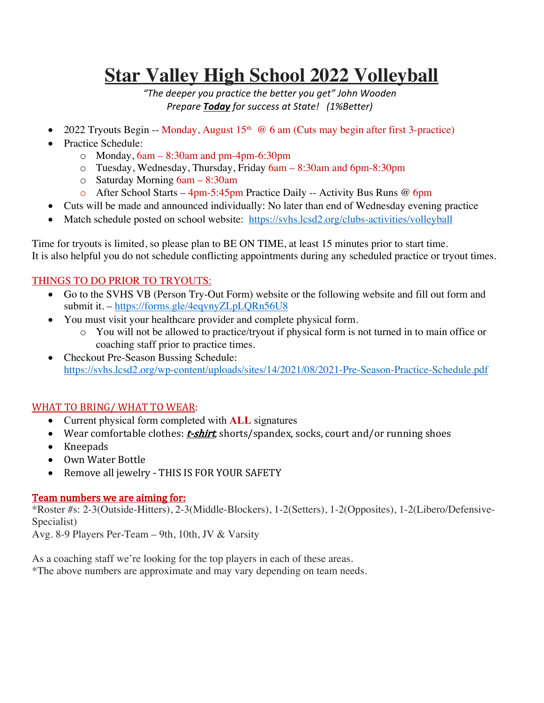# **Star Valley High School 2022 Volleyball**

*"The deeper you practice the better you get" John Wooden Prepare Today for success at State! (1%Better)*

- 2022 Tryouts Begin -- Monday, August  $15<sup>th</sup>$  @ 6 am (Cuts may begin after first 3-practice)
- Practice Schedule:
	- o Monday, 6am 8:30am and pm-4pm-6:30pm
	- o Tuesday, Wednesday, Thursday, Friday 6am 8:30am and 6pm-8:30pm
	- o Saturday Morning 6am 8:30am
	- o After School Starts 4pm-5:45pm Practice Daily -- Activity Bus Runs @ 6pm
- Cuts will be made and announced individually: No later than end of Wednesday evening practice
- Match schedule posted on school website: https://svhs.lcsd2.org/clubs-activities/volleyball

Time for tryouts is limited, so please plan to BE ON TIME, at least 15 minutes prior to start time. It is also helpful you do not schedule conflicting appointments during any scheduled practice or tryout times.

## THINGS TO DO PRIOR TO TRYOUTS:

- Go to the SVHS VB (Person Try-Out Form) website or the following website and fill out form and submit it. – https://forms.gle/4eqvnyZLpLQRn56U8
- You must visit your healthcare provider and complete physical form.
	- o You will not be allowed to practice/tryout if physical form is not turned in to main office or coaching staff prior to practice times.
- Checkout Pre-Season Bussing Schedule: https://svhs.lcsd2.org/wp-content/uploads/sites/14/2021/08/2021-Pre-Season-Practice-Schedule.pdf

# WHAT TO BRING/ WHAT TO WEAR:

- Current physical form completed with **ALL** signatures
- Wear comfortable clothes:  $t$ -shirt, shorts/spandex, socks, court and/or running shoes
- Kneepads
- Own Water Bottle
- Remove all jewelry THIS IS FOR YOUR SAFETY

### Team numbers we are aiming for:

\*Roster #s: 2-3(Outside-Hitters), 2-3(Middle-Blockers), 1-2(Setters), 1-2(Opposites), 1-2(Libero/Defensive-Specialist)

Avg. 8-9 Players Per-Team – 9th, 10th, JV & Varsity

As a coaching staff we're looking for the top players in each of these areas.

\*The above numbers are approximate and may vary depending on team needs.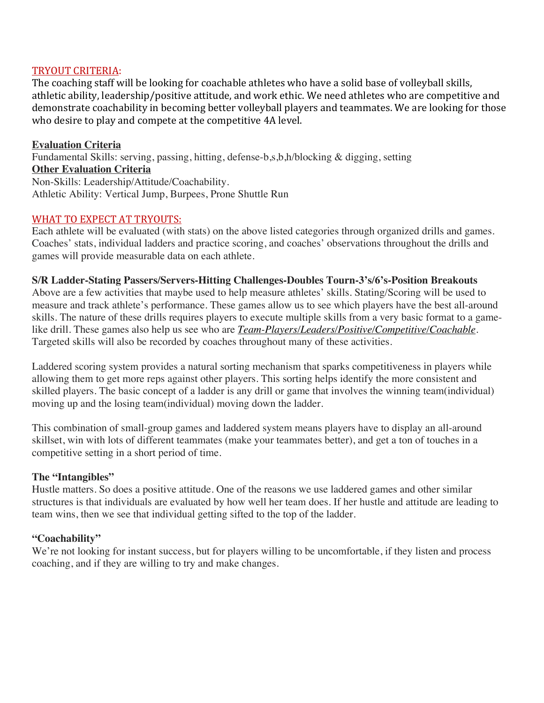#### TRYOUT CRITERIA:

The coaching staff will be looking for coachable athletes who have a solid base of volleyball skills, athletic ability, leadership/positive attitude, and work ethic. We need athletes who are competitive and demonstrate coachability in becoming better volleyball players and teammates. We are looking for those who desire to play and compete at the competitive 4A level.

**Evaluation Criteria** Fundamental Skills: serving, passing, hitting, defense-b,s,b,h/blocking & digging, setting **Other Evaluation Criteria** Non-Skills: Leadership/Attitude/Coachability. Athletic Ability: Vertical Jump, Burpees, Prone Shuttle Run

#### WHAT TO EXPECT AT TRYOUTS:

Each athlete will be evaluated (with stats) on the above listed categories through organized drills and games. Coaches' stats, individual ladders and practice scoring, and coaches' observations throughout the drills and games will provide measurable data on each athlete.

#### **S/R Ladder-Stating Passers/Servers-Hitting Challenges-Doubles Tourn-3's/6's-Position Breakouts**

Above are a few activities that maybe used to help measure athletes' skills. Stating/Scoring will be used to measure and track athlete's performance. These games allow us to see which players have the best all-around skills. The nature of these drills requires players to execute multiple skills from a very basic format to a gamelike drill. These games also help us see who are *Team-Players/Leaders/Positive/Competitive/Coachable*. Targeted skills will also be recorded by coaches throughout many of these activities.

Laddered scoring system provides a natural sorting mechanism that sparks competitiveness in players while allowing them to get more reps against other players. This sorting helps identify the more consistent and skilled players. The basic concept of a ladder is any drill or game that involves the winning team(individual) moving up and the losing team(individual) moving down the ladder.

This combination of small-group games and laddered system means players have to display an all-around skillset, win with lots of different teammates (make your teammates better), and get a ton of touches in a competitive setting in a short period of time.

#### **The "Intangibles"**

Hustle matters. So does a positive attitude. One of the reasons we use laddered games and other similar structures is that individuals are evaluated by how well her team does. If her hustle and attitude are leading to team wins, then we see that individual getting sifted to the top of the ladder.

#### **"Coachability"**

We're not looking for instant success, but for players willing to be uncomfortable, if they listen and process coaching, and if they are willing to try and make changes.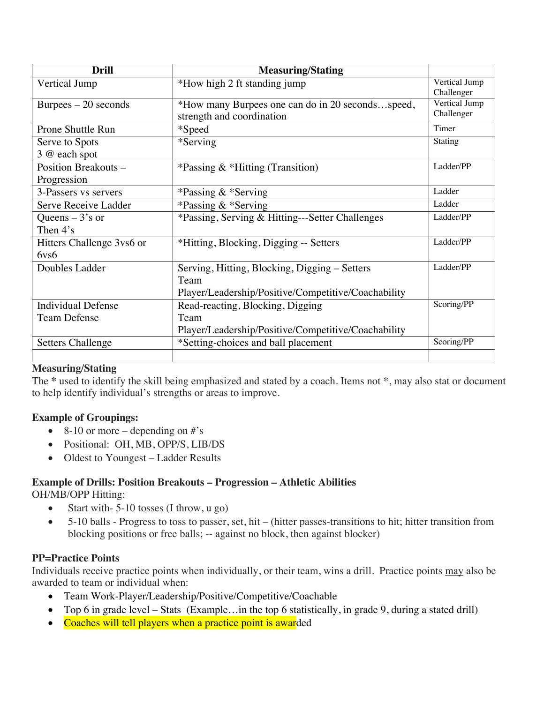| <b>Drill</b>                                  | <b>Measuring/Stating</b>                                                                                     |                             |
|-----------------------------------------------|--------------------------------------------------------------------------------------------------------------|-----------------------------|
| Vertical Jump                                 | *How high 2 ft standing jump                                                                                 | Vertical Jump<br>Challenger |
| $B$ urpees $-20$ seconds                      | *How many Burpees one can do in 20 secondsspeed,<br>strength and coordination                                | Vertical Jump<br>Challenger |
| <b>Prone Shuttle Run</b>                      | *Speed                                                                                                       | Timer                       |
| Serve to Spots<br>3 @ each spot               | *Serving                                                                                                     | Stating                     |
| Position Breakouts -<br>Progression           | *Passing $&$ *Hitting (Transition)                                                                           | Ladder/PP                   |
| 3-Passers vs servers                          | *Passing & *Serving                                                                                          | Ladder                      |
| Serve Receive Ladder                          | *Passing & *Serving                                                                                          | Ladder                      |
| Queens $-3$ 's or<br>Then 4's                 | *Passing, Serving & Hitting---Setter Challenges                                                              | Ladder/PP                   |
| Hitters Challenge 3vs6 or<br>6v <sub>56</sub> | *Hitting, Blocking, Digging -- Setters                                                                       | Ladder/PP                   |
| Doubles Ladder                                | Serving, Hitting, Blocking, Digging – Setters<br>Team<br>Player/Leadership/Positive/Competitive/Coachability | Ladder/PP                   |
| <b>Individual Defense</b>                     | Read-reacting, Blocking, Digging                                                                             | Scoring/PP                  |
| <b>Team Defense</b>                           | Team<br>Player/Leadership/Positive/Competitive/Coachability                                                  |                             |
| <b>Setters Challenge</b>                      | *Setting-choices and ball placement                                                                          | Scoring/PP                  |
|                                               |                                                                                                              |                             |

#### **Measuring/Stating**

The **\*** used to identify the skill being emphasized and stated by a coach. Items not \*, may also stat or document to help identify individual's strengths or areas to improve.

#### **Example of Groupings:**

- 8-10 or more depending on  $\#$ 's
- Positional: OH, MB, OPP/S, LIB/DS
- Oldest to Youngest Ladder Results

#### **Example of Drills: Position Breakouts – Progression – Athletic Abilities**

OH/MB/OPP Hitting:

- Start with-5-10 tosses (I throw, u go)
- 5-10 balls Progress to toss to passer, set, hit (hitter passes-transitions to hit; hitter transition from blocking positions or free balls; -- against no block, then against blocker)

#### **PP=Practice Points**

Individuals receive practice points when individually, or their team, wins a drill. Practice points may also be awarded to team or individual when:

- Team Work-Player/Leadership/Positive/Competitive/Coachable
- Top 6 in grade level Stats (Example... in the top 6 statistically, in grade 9, during a stated drill)
- Coaches will tell players when a practice point is awarded